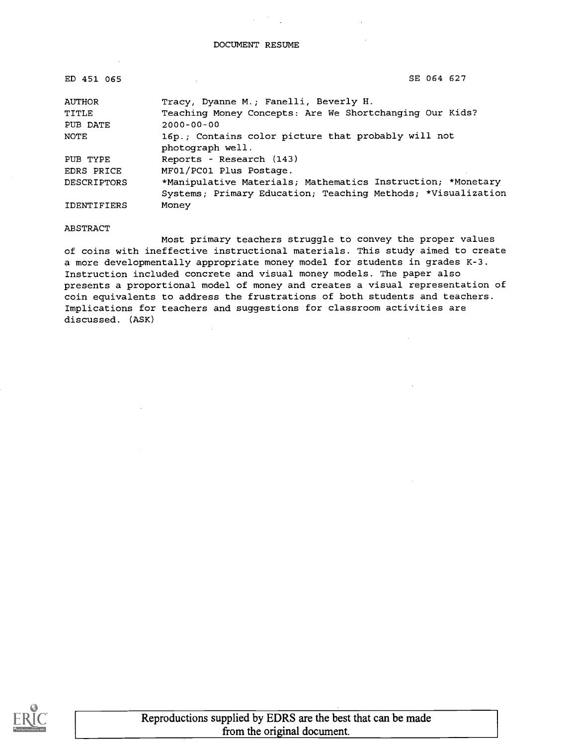| ED 451 065         | SE 064 627                                                              |
|--------------------|-------------------------------------------------------------------------|
| <b>AUTHOR</b>      | Tracy, Dyanne M.; Fanelli, Beverly H.                                   |
| TITLE              | Teaching Money Concepts: Are We Shortchanging Our Kids?                 |
| PUB DATE           | $2000 - 00 - 00$                                                        |
| NOTE               | 16p.; Contains color picture that probably will not<br>photograph well. |
| PUB TYPE           | Reports - Research (143)                                                |
| EDRS PRICE         | MF01/PC01 Plus Postage.                                                 |
| <b>DESCRIPTORS</b> | *Manipulative Materials; Mathematics Instruction; *Monetary             |
|                    | Systems; Primary Education; Teaching Methods; *Visualization            |
| IDENTIFIERS        | Money                                                                   |

#### ABSTRACT

Most primary teachers struggle to convey the proper values of coins with ineffective instructional materials. This study aimed to create a more developmentally appropriate money model for students in grades K-3. Instruction included concrete and visual money models. The paper also presents a proportional model of money and creates a visual representation of coin equivalents to address the frustrations of both students and teachers. Implications for teachers and suggestions for classroom activities are discussed. (ASK)

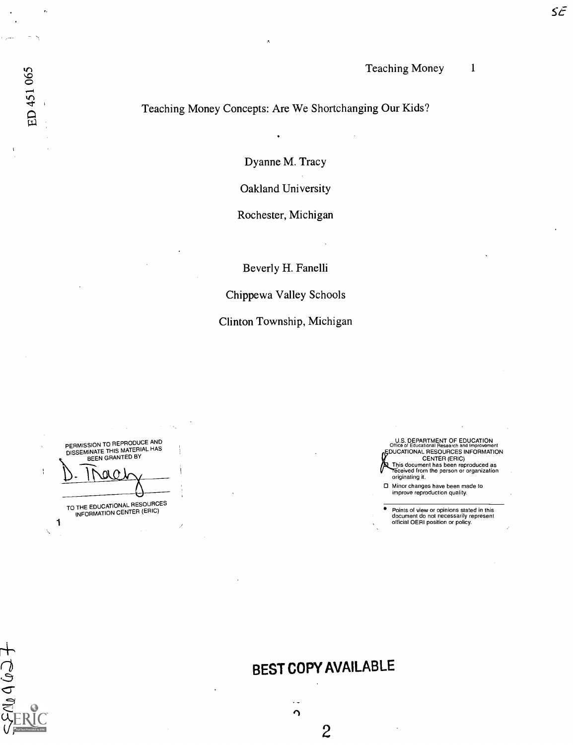## Teaching Money Concepts: Are We Shortchanging Our Kids?

Dyanne M. Tracy

Oakland University

Rochester, Michigan

Beverly H. Fanelli

Chippewa Valley Schools

Clinton Township, Michigan

1 PERMISSION TO REPRODUCE AND<br>DISSEMINATE THIS MATERIAL HAS BEEN GRANTED BY <u>I wur</u> TO THE EDUCATIONAL RESOURCES<br>INFORMATION CENTER (ERIC)

f,

 $\pm$ Colodinaction

ED 451 065

| U.S. DEPARTMENT OF EDUCATION<br>Office of Educational Research and Improvement                      |  |
|-----------------------------------------------------------------------------------------------------|--|
| "EDUCATIONAL RESOURCES INFORMATION                                                                  |  |
| <b>CENTER (ERIC)</b>                                                                                |  |
| This document has been reproduced as<br>Teceived from the person or organization<br>originating it. |  |
| □ Minor changes have been made to<br>improve reproduction quality.                                  |  |

 $\bullet$ Points of view or opinions stated in this document do not necessarily represent official OERI position or policy.

# BEST COPY AVAILABLE

 $\Omega$ 

 $\overline{c}$ 

 $\ddot{\phantom{a}}$ 

 $S\tilde{\mathcal{L}}$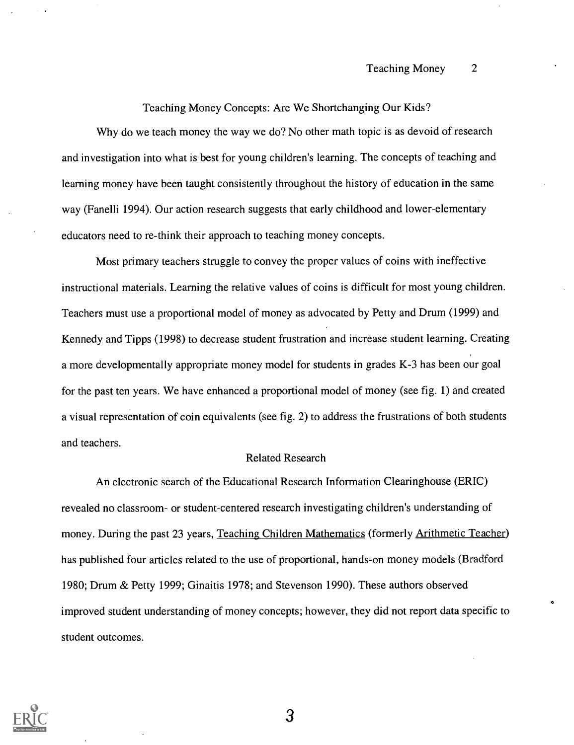Teaching Money Concepts: Are We Shortchanging Our Kids?

Why do we teach money the way we do? No other math topic is as devoid of research and investigation into what is best for young children's learning. The concepts of teaching and learning money have been taught consistently throughout the history of education in the same way (Fanelli 1994). Our action research suggests that early childhood and lower-elementary educators need to re-think their approach to teaching money concepts.

Most primary teachers struggle to convey the proper values of coins with ineffective instructional materials. Learning the relative values of coins is difficult for most young children. Teachers must use a proportional model of money as advocated by Petty and Drum (1999) and Kennedy and Tipps (1998) to decrease student frustration and increase student learning. Creating a more developmentally appropriate money model for students in grades K-3 has been our goal for the past ten years. We have enhanced a proportional model of money (see fig. 1) and created a visual representation of coin equivalents (see fig. 2) to address the frustrations of both students and teachers.

#### Related Research

An electronic search of the Educational Research Information Clearinghouse (ERIC) revealed no classroom- or student-centered research investigating children's understanding of money. During the past 23 years, Teaching Children Mathematics (formerly Arithmetic Teacher) has published four articles related to the use of proportional, hands-on money models (Bradford 1980; Drum & Petty 1999; Ginaitis 1978; and Stevenson 1990). These authors observed improved student understanding of money concepts; however, they did not report data specific to student outcomes.

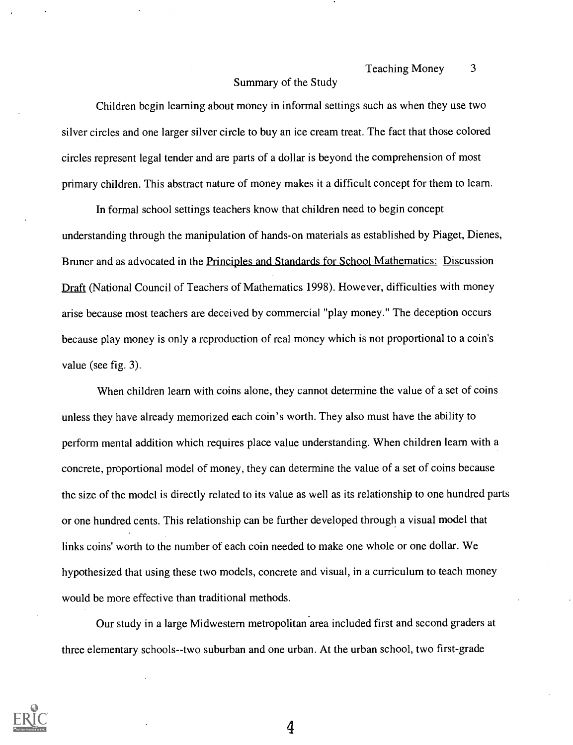## Summary of the Study

Children begin learning about money in informal settings such as when they use two silver circles and one larger silver circle to buy an ice cream treat. The fact that those colored circles represent legal tender and are parts of a dollar is beyond the comprehension of most primary children. This abstract nature of money makes it a difficult concept for them to learn.

In formal school settings teachers know that children need to begin concept understanding through the manipulation of hands-on materials as established by Piaget, Dienes, Bruner and as advocated in the Principles and Standards for School Mathematics: Discussion Draft (National Council of Teachers of Mathematics 1998). However, difficulties with money arise because most teachers are deceived by commercial "play money." The deception occurs because play money is only a reproduction of real money which is not proportional to a coin's value (see fig. 3).

When children learn with coins alone, they cannot determine the value of a set of coins unless they have already memorized each coin's worth. They also must have the ability to perform mental addition which requires place value understanding. When children learn with a concrete, proportional model of money, they can determine the value of a set of coins because the size of the model is directly related to its value as well as its relationship to one hundred parts or one hundred cents. This relationship can be further developed through a visual model that links coins' worth to the number of each coin needed to make one whole or one dollar. We hypothesized that using these two models, concrete and visual, in a curriculum to teach money would be more effective than traditional methods.

Our study in a large Midwestern metropolitan area included first and second graders at three elementary schools--two suburban and one urban. At the urban school, two first-grade

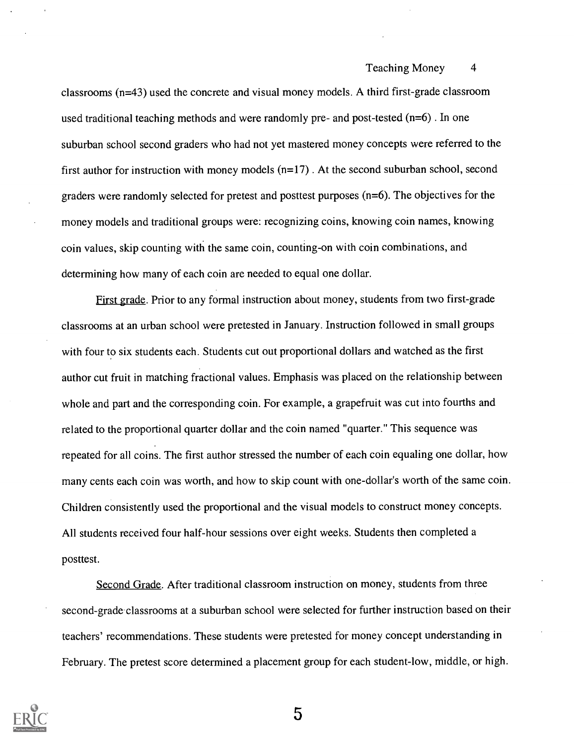classrooms (n=43) used the concrete and visual money models. A third first-grade classroom used traditional teaching methods and were randomly pre- and post-tested  $(n=6)$ . In one suburban school second graders who had not yet mastered money concepts were referred to the first author for instruction with money models  $(n=17)$ . At the second suburban school, second graders were randomly selected for pretest and posttest purposes (n=6). The objectives for the money models and traditional groups were: recognizing coins, knowing coin names, knowing coin values, skip counting with the same coin, counting-on with coin combinations, and determining how many of each coin are needed to equal one dollar.

First grade. Prior to any formal instruction about money, students from two first-grade classrooms at an urban school were pretested in January. Instruction followed in small groups with four to six students each. Students cut out proportional dollars and watched as the first author cut fruit in matching fractional values. Emphasis was placed on the relationship between whole and part and the corresponding coin. For example, a grapefruit was cut into fourths and related to the proportional quarter dollar and the coin named "quarter." This sequence was repeated for all coins. The first author stressed the number of each coin equaling one dollar, how many cents each coin was worth, and how to skip count with one-dollar's worth of the same coin. Children consistently used the proportional and the visual models to construct money concepts. All students received four half-hour sessions over eight weeks. Students then completed a posttest.

Second Grade. After traditional classroom instruction on money, students from three second-grade classrooms at a suburban school were selected for further instruction based on their teachers' recommendations. These students were pretested for money concept understanding in February. The pretest score determined a placement group for each student-low, middle, or high.

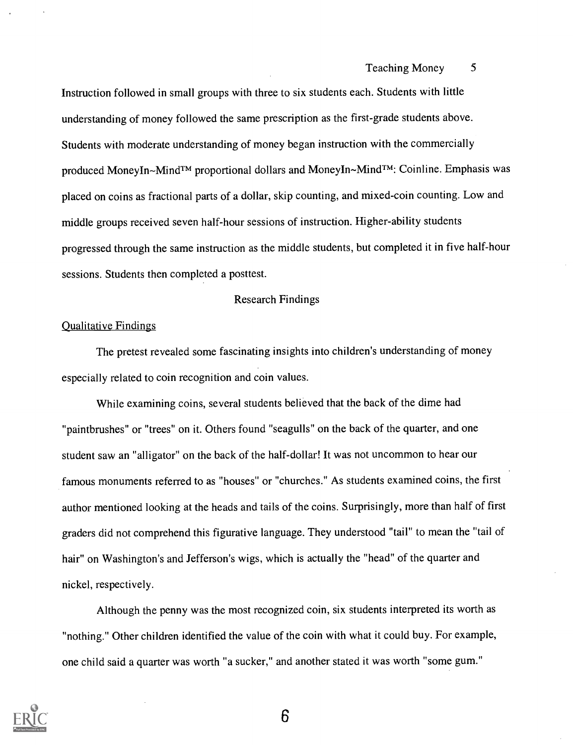Instruction followed in small groups with three to six students each. Students with little understanding of money followed the same prescription as the first-grade students above. Students with moderate understanding of money began instruction with the commercially produced MoneyIn~Mind<sup>TM</sup> proportional dollars and MoneyIn~Mind<sup>TM</sup>: Coinline. Emphasis was placed on coins as fractional parts of a dollar, skip counting, and mixed-coin counting. Low and middle groups received seven half-hour sessions of instruction. Higher-ability students progressed through the same instruction as the middle students, but completed it in five half-hour sessions. Students then completed a posttest.

#### Research Findings

#### Qualitative Findings

The pretest revealed some fascinating insights into children's understanding of money especially related to coin recognition and coin values.

While examining coins, several students believed that the back of the dime had "paintbrushes" or "trees" on it. Others found "seagulls" on the back of the quarter, and one student saw an "alligator" on the back of the half-dollar! It was not uncommon to hear our famous monuments referred to as "houses" or "churches." As students examined coins, the first author mentioned looking at the heads and tails of the coins. Surprisingly, more than half of first graders did not comprehend this figurative language. They understood "tail" to mean the "tail of hair" on Washington's and Jefferson's wigs, which is actually the "head" of the quarter and nickel, respectively.

Although the penny was the most recognized coin, six students interpreted its worth as "nothing." Other children identified the value of the coin with what it could buy. For example, one child said a quarter was worth "a sucker," and another stated it was worth "some gum."

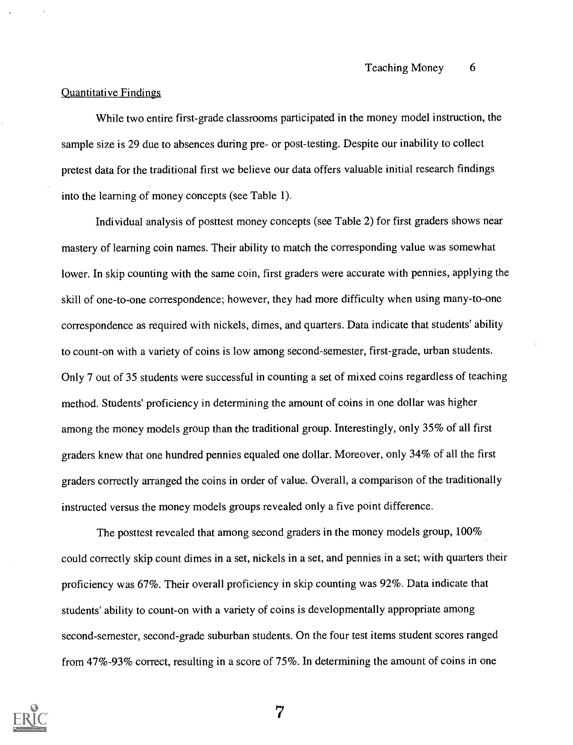#### Quantitative Findings

While two entire first-grade classrooms participated in the money model instruction, the sample size is 29 due to absences during pre- or post-testing. Despite our inability to collect pretest data for the traditional first we believe our data offers valuable initial research findings into the learning of money concepts (see Table 1).

Individual analysis of posttest money concepts (see Table 2) for first graders shows near mastery of learning coin names. Their ability to match the corresponding value was somewhat lower. In skip counting with the same coin, first graders were accurate with pennies, applying the skill of one-to-one correspondence; however, they had more difficulty when using many-to-one correspondence as required with nickels, dimes, and quarters. Data indicate that students' ability to count-on with a variety of coins is low among second-semester, first-grade, urban students. Only 7 out of 35 students were successful in counting a set of mixed coins regardless of teaching method. Students' proficiency in determining the amount of coins in one dollar was higher among the money models group than the traditional group. Interestingly, only 35% of all first graders knew that one hundred pennies equaled one dollar. Moreover, only 34% of all the first graders correctly arranged the coins in order of value. Overall, a comparison of the traditionally instructed versus the money models groups revealed only a five point difference.

The posttest revealed that among second graders in the money models group, 100% could correctly skip count dimes in a set, nickels in a set, and pennies in a set; with quarters their proficiency was 67%. Their overall proficiency in skip counting was 92%. Data indicate that students' ability to count-on with a variety of coins is developmentally appropriate among second-semester, second-grade suburban students. On the four test items student scores ranged from 47%-93% correct, resulting in a score of 75%. In determining the amount of coins in one

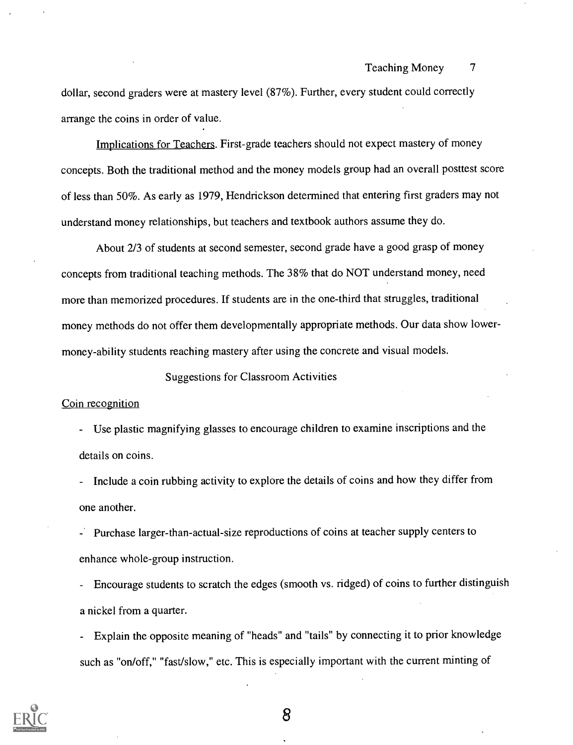dollar, second graders were at mastery level (87%). Further, every student could correctly arrange the coins in order of value.

Implications for Teachers. First-grade teachers should not expect mastery of money concepts. Both the traditional method and the money models group had an overall posttest score of less than 50%. As early as 1979, Hendrickson determined that entering first graders may not understand money relationships, but teachers and textbook authors assume they do.

About 2/3 of students at second semester, second grade have a good grasp of money concepts from traditional teaching methods. The 38% that do NOT understand money, need more than memorized procedures. If students are in the one-third that struggles, traditional money methods do not offer them developmentally appropriate methods. Our data show lowermoney-ability students reaching mastery after using the concrete and visual models.

Suggestions for Classroom Activities

#### Coin recognition

- Use plastic magnifying glasses to encourage children to examine inscriptions and the details on coins.

Include a coin rubbing activity to explore the details of coins and how they differ from one another.

Purchase larger-than-actual-size reproductions of coins at teacher supply centers to enhance whole-group instruction.

- Encourage students to scratch the edges (smooth vs. ridged) of coins to further distinguish a nickel from a quarter.

Explain the opposite meaning of "heads" and "tails" by connecting it to prior knowledge such as "on/off," "fast/slow," etc. This is especially important with the current minting of

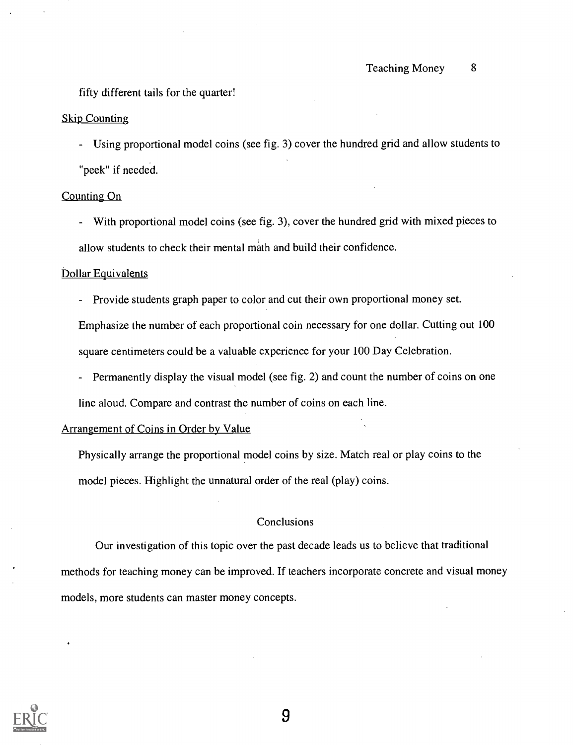fifty different tails for the quarter!

#### Skip Counting

Using proportional model coins (see fig. 3) cover the hundred grid and allow students to "peek" if needed.

#### Counting On

With proportional model coins (see fig. 3), cover the hundred grid with mixed pieces to allow students to check their mental math and build their confidence.

#### Dollar Equivalents

- Provide students graph paper to color and cut their own proportional money set.

Emphasize the number of each proportional coin necessary for one dollar. Cutting out 100 square centimeters could be a valuable experience for your 100 Day Celebration.

- Permanently display the visual model (see fig. 2) and count the number of coins on one

line aloud. Compare and contrast the number of coins on each line.

#### Arrangement of Coins in Order by Value

Physically arrange the proportional model coins by size. Match real or play coins to the model pieces. Highlight the unnatural order of the real (play) coins.

#### Conclusions

Our investigation of this topic over the past decade leads us to believe that traditional methods for teaching money can be improved. If teachers incorporate concrete and visual money models, more students can master money concepts.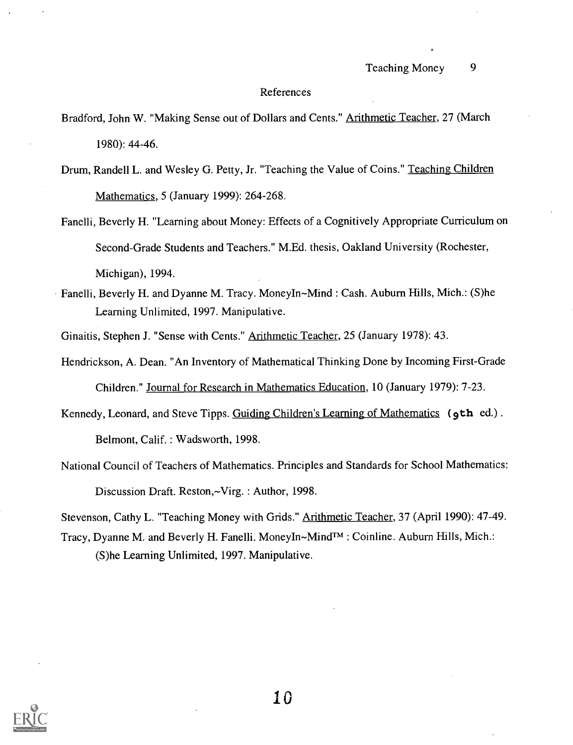#### References

- Bradford, John W. "Making Sense out of Dollars and Cents." Arithmetic Teacher, 27 (March 1980): 44-46.
- Drum, Randell L. and Wesley G. Petty, Jr. "Teaching the Value of Coins." Teaching Children Mathematics, 5 (January 1999): 264-268.
- Fanelli, Beverly H. "Learning about Money: Effects of a Cognitively Appropriate Curriculum on Second-Grade Students and Teachers." M.Ed. thesis, Oakland University (Rochester, Michigan), 1994.
- Fanelli, Beverly H. and Dyanne M. Tracy. MoneyIn~Mind : Cash. Auburn Hills, Mich.: (S)he Learning Unlimited, 1997. Manipulative.
	- Ginaitis, Stephen J. "Sense with Cents." Arithmetic Teacher, 25 (January 1978): 43.
- Hendrickson, A. Dean. "An Inventory of Mathematical Thinking Done by Incoming First-Grade Children." Journal for Research in Mathematics Education, 10 (January 1979): 7-23.
- Kennedy, Leonard, and Steve Tipps. Guiding Children's Learning of Mathematics (9th ed.). Belmont, Calif. : Wadsworth, 1998.
- National Council of Teachers of Mathematics. Principles and Standards for School Mathematics: Discussion Draft. Reston,~Virg. : Author, 1998.

Stevenson, Cathy L. "Teaching Money with Grids." Arithmetic Teacher, 37 (April 1990): 47-49.

Tracy, Dyanne M. and Beverly H. Fanelli. MoneyIn~Mind $TM$ : Coinline. Auburn Hills, Mich.: (S)he Learning Unlimited, 1997. Manipulative.

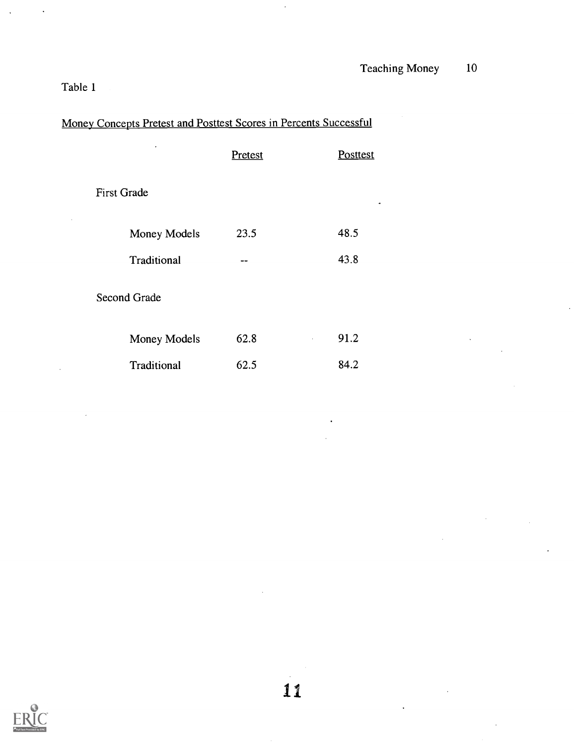# Table 1

|  |  |  | Money Concepts Pretest and Posttest Scores in Percents Successful |  |
|--|--|--|-------------------------------------------------------------------|--|
|  |  |  |                                                                   |  |

 $\ddot{\phantom{0}}$ 

| ٠                  | Pretest | Posttest |
|--------------------|---------|----------|
| <b>First Grade</b> |         | ٠        |
| Money Models       | 23.5    | 48.5     |
| Traditional        | --      | 43.8     |
| Second Grade       |         |          |
| Money Models       | 62.8    | 91.2     |
| Traditional        | 62.5    | 84.2     |

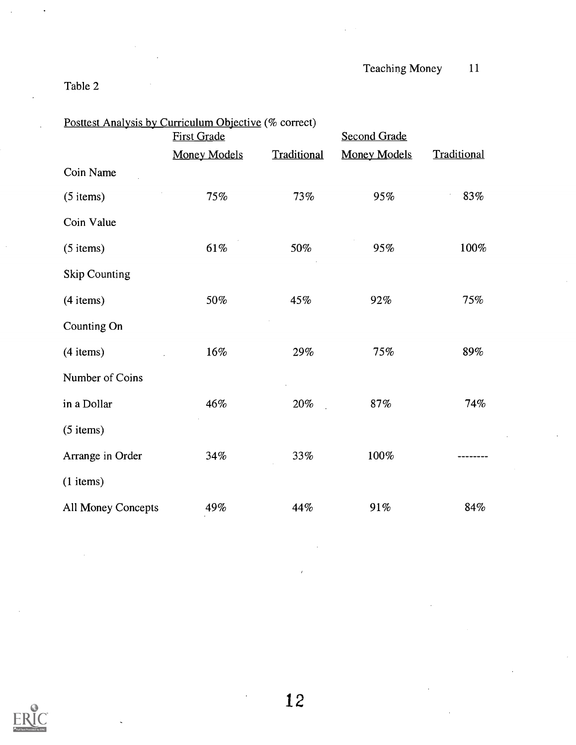# Table 2

| Posttest Analysis by Curriculum Objective (% correct) |                     |             |                     |             |  |
|-------------------------------------------------------|---------------------|-------------|---------------------|-------------|--|
|                                                       | <b>First Grade</b>  |             | <b>Second Grade</b> |             |  |
|                                                       | <b>Money Models</b> | Traditional | <b>Money Models</b> | Traditional |  |
| Coin Name                                             |                     |             |                     |             |  |
| $(5$ items)                                           | 75%                 | 73%         | 95%                 | 83%         |  |
| Coin Value                                            |                     |             |                     |             |  |
| $(5$ items)                                           | $61\%$              | 50%         | 95%                 | 100%        |  |
| <b>Skip Counting</b>                                  |                     |             |                     |             |  |
| $(4$ items)                                           | 50%                 | 45%         | 92%                 | 75%         |  |
| Counting On                                           |                     |             |                     |             |  |
| $(4$ items)                                           | $16\%$              | 29%         | 75%                 | 89%         |  |
| Number of Coins                                       |                     |             |                     |             |  |
| in a Dollar                                           | 46%                 | 20%         | 87%                 | 74%         |  |
| $(5$ items)                                           |                     |             |                     |             |  |
| Arrange in Order                                      | 34%                 | 33%         | 100%                |             |  |
| $(1$ items)                                           |                     |             |                     |             |  |
| All Money Concepts                                    | 49%                 | 44%         | 91%                 | 84%         |  |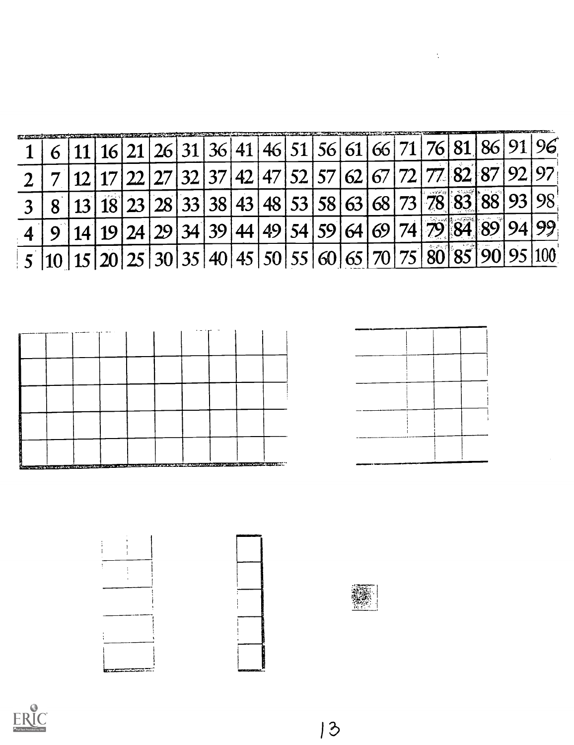|  |  |  |  |  |                                |  |  | $21 26 31 36 41 46 51 56 61 66 71 76 81 86 91$   |    |
|--|--|--|--|--|--------------------------------|--|--|--------------------------------------------------|----|
|  |  |  |  |  | 127 32 37 42 47 52 57 62 67 72 |  |  | 77 82 87                                         |    |
|  |  |  |  |  |                                |  |  | $28 33 38 43 48 53 58 63 68 73 78 83 88$         |    |
|  |  |  |  |  | 24 29 34 39 44 49 54 59 64 69  |  |  | 74 79 84 89                                      | 99 |
|  |  |  |  |  |                                |  |  | $20 25 30 35 40 45 50 55 60 65 70 75 80 85 90 .$ |    |





 $\frac{1}{2}$ 

 $\frac{1}{4}$  $\frac{1}{4}$ Ţ  $\frac{1}{2}$ 

**karaz** 







 $|3$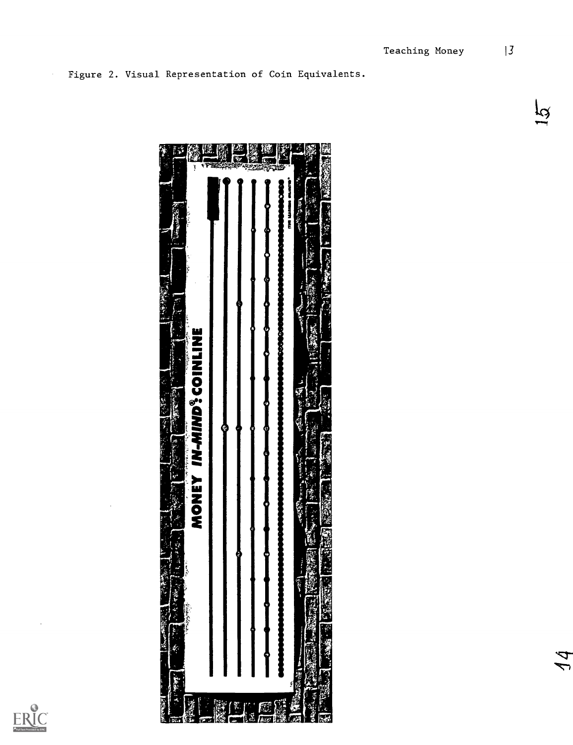

 $\hat{\boldsymbol{\beta}}$ 

Figure 2. Visual Representation of Coin Equivalents.

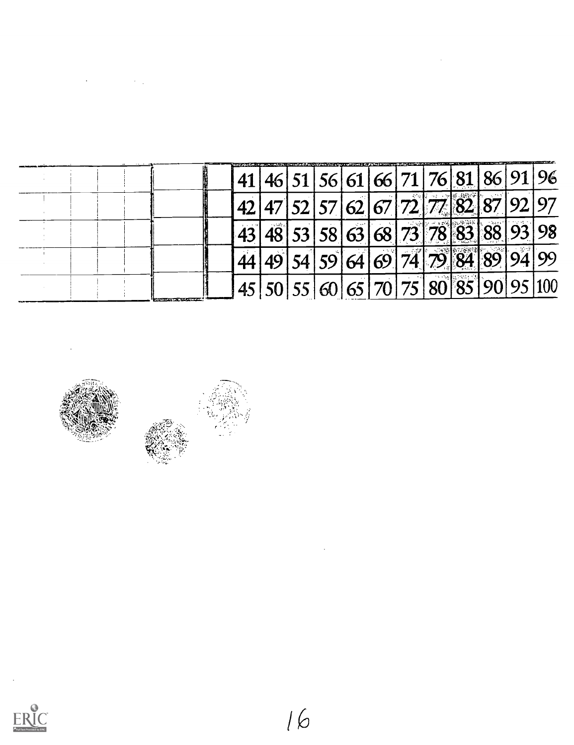|                                      |                                       |  |  |  |  | 41 46 51 56 61 66 71 76 81 86 91 96    |  |
|--------------------------------------|---------------------------------------|--|--|--|--|----------------------------------------|--|
|                                      | 142 47 52 57 62 67 72 77 82 87 92 97  |  |  |  |  |                                        |  |
|                                      | 43 48 53 58 63 68 73 78 83 88 93 98   |  |  |  |  |                                        |  |
|                                      |                                       |  |  |  |  | $144$ 49 54 59 64 69 74 79 84 89 94 99 |  |
| Sixteed to the character of the com- | 145 50 55 60 65 70 75 80 85 90 95 100 |  |  |  |  |                                        |  |

 $\mathcal{O}(\mathcal{O}(\log n))$  . The set of  $\mathcal{O}(\log n)$ 



 $\mathcal{L}^{\text{max}}_{\text{max}}$  , where  $\mathcal{L}^{\text{max}}_{\text{max}}$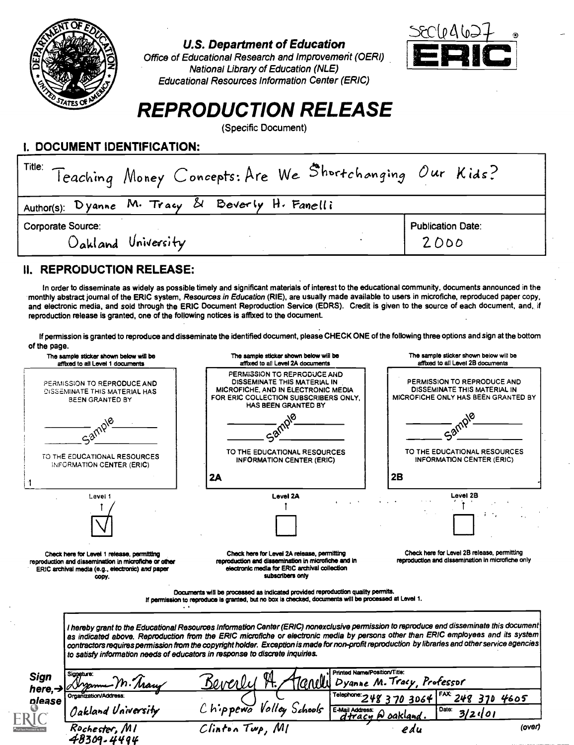

## **U.S. Department of Education**

Office of Educational Research and Improvement (OERI) National Library of Education (NLE) **Educational Resources Information Center (ERIC)** 



# **REPRODUCTION RELEASE**

(Specific Document)

## I. DOCUMENT IDENTIFICATION:

| Title: Teaching Money Concepts: Are We Shortchanging Our Kids? |                                  |
|----------------------------------------------------------------|----------------------------------|
| Author(s): Dyanne M. Tracy & Beverly H. Fanelli                |                                  |
| Corporate Source:<br>Oakland University                        | <b>Publication Date:</b><br>2000 |

# II. REPRODUCTION RELEASE:

 $L_{\rm E}$ 

In order to disseminate as widely as possible timely and significant materials of interest to the educational community, documents announced in the monthly abstract journal of the ERIC system, Resources in Education (RIE), are usually made available to users in microfiche, reproduced paper copy, and electronic media, and sold through the ERIC Document Reproduction Service (EDRS). Credit is given to the source of each document, and, if reproduction release is granted, one of the following notices is affixed to the document.

If permission is granted to reproduce and disseminate the identified document, please CHECK ONE of the following three options and sign at the bottom of the page

|                                    | The sample sticker shown below will be<br>affixed to all Level 1 documents                                                                                       | The sample sticker shown below will be<br>affixed to all Level 2A documents                                                                                                              | The sample sticker shown below will be<br>affixed to all Level 2B documents                                                                                                                                                                                                                                                                                                                                                       |
|------------------------------------|------------------------------------------------------------------------------------------------------------------------------------------------------------------|------------------------------------------------------------------------------------------------------------------------------------------------------------------------------------------|-----------------------------------------------------------------------------------------------------------------------------------------------------------------------------------------------------------------------------------------------------------------------------------------------------------------------------------------------------------------------------------------------------------------------------------|
|                                    | PERMISSION TO REPRODUCE AND<br><b>DISSEMINATE THIS MATERIAL HAS</b><br><b>BEEN GRANTED BY</b>                                                                    | PERMISSION TO REPRODUCE AND<br>DISSEMINATE THIS MATERIAL IN<br>MICROFICHE, AND IN ELECTRONIC MEDIA<br>FOR ERIC COLLECTION SUBSCRIBERS ONLY.<br><b>HAS BEEN GRANTED BY</b>                | PERMISSION TO REPRODUCE AND<br>DISSEMINATE THIS MATERIAL IN<br>MICROFICHE ONLY HAS BEEN GRANTED BY                                                                                                                                                                                                                                                                                                                                |
|                                    | Samp                                                                                                                                                             |                                                                                                                                                                                          | Sample                                                                                                                                                                                                                                                                                                                                                                                                                            |
|                                    | TO THE EDUCATIONAL RESOURCES<br>INFORMATION CENTER (ERIC)                                                                                                        | TO THE EDUCATIONAL RESOURCES<br><b>INFORMATION CENTER (ERIC)</b>                                                                                                                         | TO THE EDUCATIONAL RESOURCES<br>INFORMATION CENTER (ERIC)                                                                                                                                                                                                                                                                                                                                                                         |
|                                    |                                                                                                                                                                  | 2A                                                                                                                                                                                       | 2B                                                                                                                                                                                                                                                                                                                                                                                                                                |
|                                    | Level 1                                                                                                                                                          | Lavel 2A                                                                                                                                                                                 | Level 2B                                                                                                                                                                                                                                                                                                                                                                                                                          |
|                                    |                                                                                                                                                                  |                                                                                                                                                                                          |                                                                                                                                                                                                                                                                                                                                                                                                                                   |
|                                    | Check here for Level 1 release, permitting<br>reproduction and dissemination in microfiche or other<br>ERIC archival media (e.g., electronic) and paper<br>CODY. | Check here for Level 2A release, permitting<br>reproduction and dissemination in microfiche and in<br>electronic media for ERIC archival collection<br>subscribers only                  | Check here for Level 2B release, permitting<br>reproduction and dissemination in microfiche only                                                                                                                                                                                                                                                                                                                                  |
|                                    |                                                                                                                                                                  | Documents will be processed as indicated provided reproduction quality permits.<br>If permission to reproduce is granted, but no box is checked, documents will be processed at Level 1. |                                                                                                                                                                                                                                                                                                                                                                                                                                   |
|                                    |                                                                                                                                                                  | to satisfy information needs of educators in response to discrete inquiries.                                                                                                             | I hereby grant to the Educational Resources Information Center (ERIC) nonexclusive permission to reproduce end disseminate this document<br>as indicated above. Reproduction from the ERIC microfiche or electronic media by persons other than ERIC employees and its system<br>contractors requires permission from the copyright holder. Exception is made for non-profit reproduction by libraries and other service agencies |
| <b>Sign</b><br>here, $\rightarrow$ | Sianatura:<br>I. Mary                                                                                                                                            | Beverly<br>anelli                                                                                                                                                                        | Printed Name/Position/Title:<br>Dyanne M. Tracy, Professor                                                                                                                                                                                                                                                                                                                                                                        |
| please                             | Organization/Address:                                                                                                                                            |                                                                                                                                                                                          | $FAX$ 248 370 4605<br>Telephone: 248 370 3064                                                                                                                                                                                                                                                                                                                                                                                     |
|                                    | Oakland University                                                                                                                                               | Chippewa Valley Schools                                                                                                                                                                  | E-Mail Address: Q oakland.<br>$\int_{0}^{2} \frac{3}{2} \sqrt{01}$                                                                                                                                                                                                                                                                                                                                                                |
|                                    | Rochester, MI<br>48309-4494                                                                                                                                      | Clinton Twp, MI                                                                                                                                                                          | (over)                                                                                                                                                                                                                                                                                                                                                                                                                            |